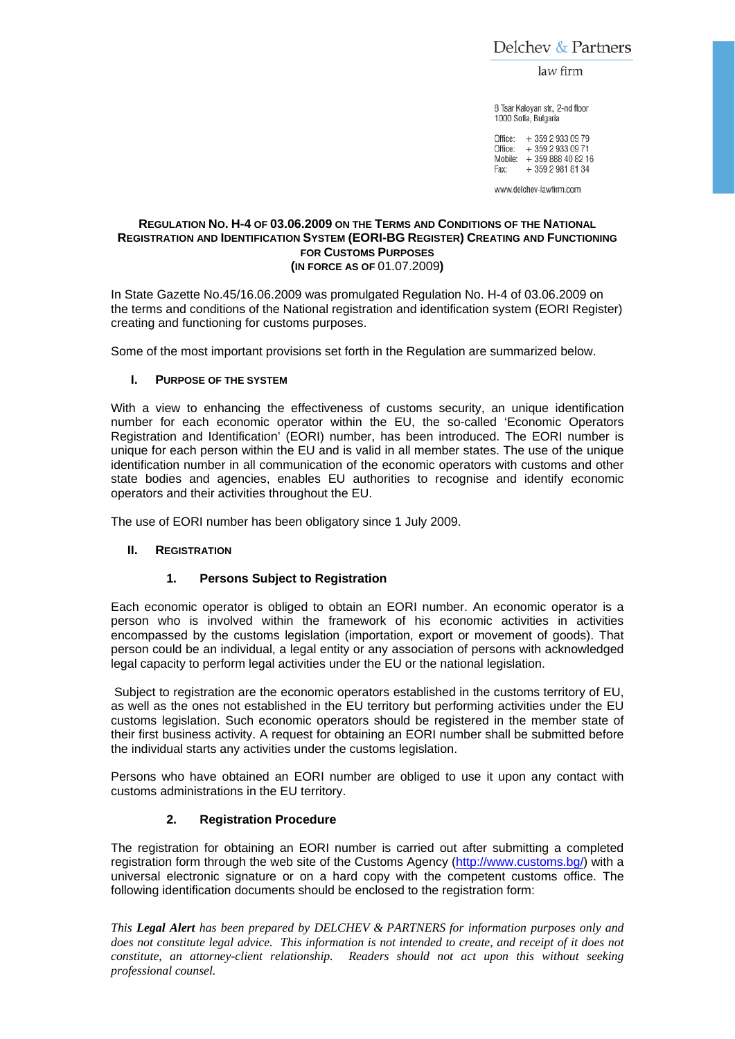Delchev & Partners

law firm

8 Tsar Kaloyan str., 2-nd floor 1000 Sofia, Bulgaria

Office: + 359 2 933 09 79 Office: +359 2 933 09 71 Mobile: +359 888 40 82 16 + 359 2 981 81 34 Fax:

www.delchev-lawfirm.com

### **REGULATION NO. H-4 OF 03.06.2009 ON THE TERMS AND CONDITIONS OF THE NATIONAL REGISTRATION AND IDENTIFICATION SYSTEM (EORI-BG REGISTER) CREATING AND FUNCTIONING FOR CUSTOMS PURPOSES (IN FORCE AS OF** 01.07.2009**)**

In State Gazette No.45/16.06.2009 was promulgated Regulation No. H-4 of 03.06.2009 on the terms and conditions of the National registration and identification system (EORI Register) creating and functioning for customs purposes.

Some of the most important provisions set forth in the Regulation are summarized below.

# **I. PURPOSE OF THE SYSTEM**

With a view to enhancing the effectiveness of customs security, an unique identification number for each economic operator within the EU, the so-called 'Economic Operators Registration and Identification' (EORI) number, has been introduced. The EORI number is unique for each person within the EU and is valid in all member states. The use of the unique identification number in all communication of the economic operators with customs and other state bodies and agencies, enables EU authorities to recognise and identify economic operators and their activities throughout the EU.

The use of EORI number has been obligatory since 1 July 2009.

# **II. REGISTRATION**

# **1. Persons Subject to Registration**

Each economic operator is obliged to obtain an EORI number. An economic operator is a person who is involved within the framework of his economic activities in activities encompassed by the customs legislation (importation, export or movement of goods). That person could be an individual, a legal entity or any association of persons with acknowledged legal capacity to perform legal activities under the EU or the national legislation.

 Subject to registration are the economic operators established in the customs territory of EU, as well as the ones not established in the EU territory but performing activities under the EU customs legislation. Such economic operators should be registered in the member state of their first business activity. A request for obtaining an EORI number shall be submitted before the individual starts any activities under the customs legislation.

Persons who have obtained an EORI number are obliged to use it upon any contact with customs administrations in the EU territory.

# **2. Registration Procedure**

The registration for obtaining an EORI number is carried out after submitting a completed registration form through the web site of the Customs Agency (http://www.customs.bg/) with a universal electronic signature or on a hard copy with the competent customs office. The following identification documents should be enclosed to the registration form:

*This Legal Alert has been prepared by DELCHEV & PARTNERS for information purposes only and does not constitute legal advice. This information is not intended to create, and receipt of it does not constitute, an attorney-client relationship. Readers should not act upon this without seeking professional counsel.*